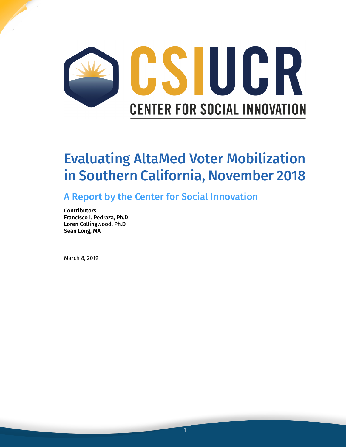

# Evaluating AltaMed Voter Mobilization in Southern California, November 2018

A Report by the Center for Social Innovation

Contributors: Francisco I. Pedraza, Ph.D Loren Collingwood, Ph.D Sean Long, MA

March 8, 2019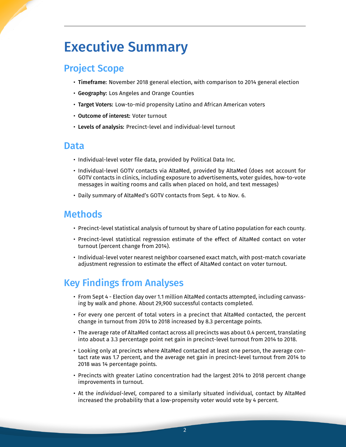## Executive Summary

## Project Scope

- Timeframe: November 2018 general election, with comparison to 2014 general election
- Geography: Los Angeles and Orange Counties
- Target Voters: Low-to-mid propensity Latino and African American voters
- Outcome of interest: Voter turnout
- Levels of analysis: Precinct-level and individual-level turnout

#### Data

- Individual-level voter file data, provided by Political Data Inc.
- Individual-level GOTV contacts via AltaMed, provided by AltaMed (does not account for GOTV contacts in clinics, including exposure to advertisements, voter guides, how-to-vote messages in waiting rooms and calls when placed on hold, and text messages)
- Daily summary of AltaMed's GOTV contacts from Sept. 4 to Nov. 6.

#### Methods

- Precinct-level statistical analysis of turnout by share of Latino population for each county.
- Precinct-level statistical regression estimate of the effect of AltaMed contact on voter turnout (percent change from 2014).
- Individual-level voter nearest neighbor coarsened exact match, with post-match covariate adjustment regression to estimate the effect of AltaMed contact on voter turnout.

## Key Findings from Analyses

- From Sept 4 Election day over 1.1 million AltaMed contacts attempted, including canvassing by walk and phone. About 29,900 successful contacts completed.
- For every one percent of total voters in a precinct that AltaMed contacted, the percent change in turnout from 2014 to 2018 increased by 8.3 percentage points.
- The average rate of AltaMed contact across all precincts was about 0.4 percent, translating into about a 3.3 percentage point net gain in precinct-level turnout from 2014 to 2018.
- Looking only at precincts where AltaMed contacted at least one person, the average contact rate was 1.7 percent, and the average net gain in precinct-level turnout from 2014 to 2018 was 14 percentage points.
- Precincts with greater Latino concentration had the largest 2014 to 2018 percent change improvements in turnout.
- At the *individual-level*, compared to a similarly situated individual, contact by AltaMed increased the probability that a low-propensity voter would vote by 4 percent.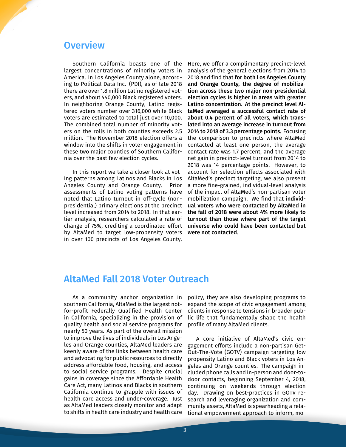### **Overview**

Southern California boasts one of the largest concentrations of minority voters in America. In Los Angeles County alone, according to Political Data Inc. (PDI), as of late 2018 there are over 1.8 million Latino registered voters, and about 440,000 Black registered voters. In neighboring Orange County, Latino registered voters number over 316,000 while Black voters are estimated to total just over 10,000. The combined total number of minority voters on the rolls in both counties exceeds 2.5 million. The November 2018 election offers a window into the shifts in voter engagement in these two major counties of Southern California over the past few election cycles.

In this report we take a closer look at voting patterns among Latinos and Blacks in Los Angeles County and Orange County. Prior assessments of Latino voting patterns have noted that Latino turnout in off-cycle (nonpresidential) primary elections at the precinct level increased from 2014 to 2018. In that earlier analysis, researchers calculated a rate of change of 75%, crediting a coordinated effort by AltaMed to target low-propensity voters in over 100 precincts of Los Angeles County.

Here, we offer a complimentary precinct-level analysis of the general elections from 2014 to 2018 and find that for both Los Angeles County and Orange County, the degree of mobilization across these two major non-presidential election cycles is higher in areas with greater Latino concentration. At the precinct level AltaMed averaged a successful contact rate of about 0.4 percent of all voters, which translated into an average increase in turnout from 2014 to 2018 of 3.3 percentage points. Focusing the comparison to precincts where AltaMed contacted at least one person, the average contact rate was 1.7 percent, and the average net gain in precinct-level turnout from 2014 to 2018 was 14 percentage points. However, to account for selection effects associated with AltaMed's precinct targeting, we also present a more fine-grained, individual-level analysis of the impact of AltaMed's non-partisan voter mobilization campaign. We find that individual voters who were contacted by AltaMed in the fall of 2018 were about 4% more likely to turnout than those where part of the target universe who could have been contacted but were not contacted.

#### AltaMed Fall 2018 Voter Outreach

As a community anchor organization in southern California, AltaMed is the largest notfor-profit Federally Qualified Health Center in California, specializing in the provision of quality health and social service programs for nearly 50 years. As part of the overall mission to improve the lives of individuals in Los Angeles and Orange counties, AltaMed leaders are keenly aware of the links between health care and advocating for public resources to directly address affordable food, housing, and access to social service programs. Despite crucial gains in coverage since the Affordable Health Care Act, many Latinos and Blacks in southern California continue to grapple with issues of health care access and under-coverage. Just as AltaMed leaders closely monitor and adapt to shifts in health care industry and health care

policy, they are also developing programs to expand the scope of civic engagement among clients in response to tensions in broader public life that fundamentally shape the health profile of many AltaMed clients.

A core initiative of AltaMed's civic engagement efforts include a non-partisan Get-Out-The-Vote (GOTV) campaign targeting low propensity Latino and Black voters in Los Angeles and Orange counties. The campaign included phone calls and in-person and door-todoor contacts, beginning September 4, 2018, continuing on weekends through election day. Drawing on best-practices in GOTV research and leveraging organization and community assets, AltaMed is spearheading a relational empowerment approach to inform, mo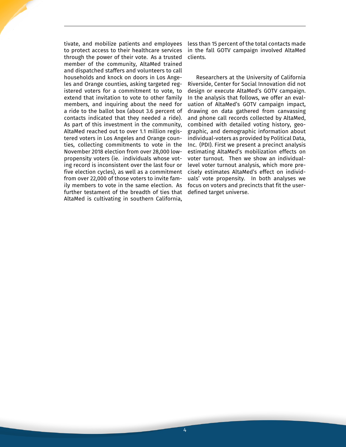tivate, and mobilize patients and employees to protect access to their healthcare services through the power of their vote. As a trusted member of the community, AltaMed trained and dispatched staffers and volunteers to call households and knock on doors in Los Angeles and Orange counties, asking targeted registered voters for a commitment to vote, to extend that invitation to vote to other family members, and inquiring about the need for a ride to the ballot box (about 3.6 percent of contacts indicated that they needed a ride). As part of this investment in the community, AltaMed reached out to over 1.1 million registered voters in Los Angeles and Orange counties, collecting commitments to vote in the November 2018 election from over 28,000 lowpropensity voters (ie. individuals whose voting record is inconsistent over the last four or five election cycles), as well as a commitment from over 22,000 of those voters to invite family members to vote in the same election. As further testament of the breadth of ties that AltaMed is cultivating in southern California,

less than 15 percent of the total contacts made in the fall GOTV campaign involved AltaMed clients.

Researchers at the University of California Riverside, Center for Social Innovation did not design or execute AltaMed's GOTV campaign. In the analysis that follows, we offer an evaluation of AltaMed's GOTV campaign impact, drawing on data gathered from canvassing and phone call records collected by AltaMed, combined with detailed voting history, geographic, and demographic information about individual-voters as provided by Political Data, Inc. (PDI). First we present a precinct analysis estimating AltaMed's mobilization effects on voter turnout. Then we show an individuallevel voter turnout analysis, which more precisely estimates AltaMed's effect on individuals' vote propensity. In both analyses we focus on voters and precincts that fit the userdefined target universe.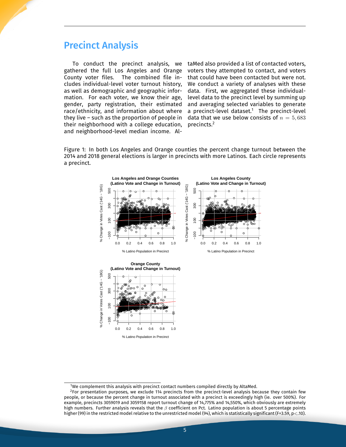## **Precinct Analysis**

To conduct the precinct analysis, we gathered the full Los Angeles and Orange County voter files. The combined file includes individual-level voter turnout history, as well as demographic and geographic information. For each voter, we know their age, gender, party registration, their estimated race/ethnicity, and information about where they live - such as the proportion of people in their neighborhood with a college education, and neighborhood-level median income. AltaMed also provided a list of contacted voters. voters they attempted to contact, and voters that could have been contacted but were not. We conduct a variety of analyses with these data. First, we aggregated these individuallevel data to the precinct level by summing up and averaging selected variables to generate a precinct-level dataset.<sup>1</sup> The precinct-level data that we use below consists of  $n = 5,683$ precincts.<sup>2</sup>

Figure 1: In both Los Angeles and Orange counties the percent change turnout between the 2014 and 2018 general elections is larger in precincts with more Latinos. Each circle represents a precinct.



 $^{\rm 1}$ We complement this analysis with precinct contact numbers compiled directly by AltaMed.

 ${}^{2}$ For presentation purposes, we exclude 114 precincts from the precinct-level analysis because they contain few people, or because the percent change in turnout associated with a precinct is exceedingly high (ie. over 500%). For example, precincts 3059019 and 3059158 report turnout change of 14,775% and 14,550%, which obviously are extremely high numbers. Further analysis reveals that the  $\beta$  coefficient on Pct. Latino population is about 5 percentage points higher (99) in the restricted model relative to the unrestricted model (94), which is statistically significant (F=3.59, p<.10).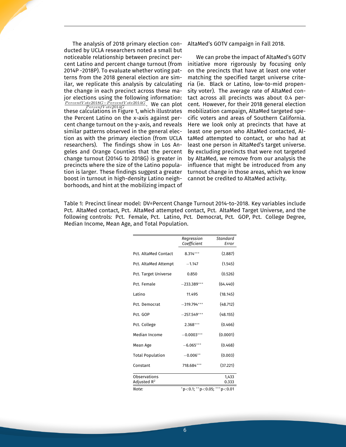The analysis of 2018 primary election conducted by UCLA researchers noted a small but noticeable relationship between precinct percent Latino and percent change turnout (from 2014P -2018P). To evaluate whether voting patterns from the 2018 general election are similar, we replicate this analysis by calculating the change in each precinct across these major elections using the following information: *PercentV ote2018G−PercentV ote2014G*. We can plot these calculations in Figure 1, which illustrates the Percent Latino on the x-axis against percent change turnout on the y-axis, and reveals similar patterns observed in the general election as with the primary election (from UCLA researchers). The findings show in Los Angeles and Orange Counties that the percent change turnout (2014G to 2018G) is greater in precincts where the size of the Latino population is larger. These findings suggest a greater boost in turnout in high-density Latino neighborhoods, and hint at the mobilizing impact of

AltaMed's GOTV campaign in Fall 2018.

We can probe the impact of AltaMed's GOTV initiative more rigorously by focusing only on the precincts that have at least one voter matching the specified target universe criteria (ie. Black or Latino, low-to-mid propensity voter). The average rate of AltaMed contact across all precincts was about 0.4 percent. However, for their 2018 general election mobilization campaign, AltaMed targeted specific voters and areas of Southern California. Here we look only at precincts that have at least one person who AltaMed contacted, AltaMed attempted to contact, or who had at least one person in AltaMed's target universe. By excluding precincts that were not targeted by AltaMed, we remove from our analysis the influence that might be introduced from any turnout change in those areas, which we know cannot be credited to AltaMed activity.

Table 1: Precinct linear model: DV=Percent Change Turnout 2014-to-2018. Key variables include Pct. AltaMed contact, Pct. AltaMed attempted contact, Pct. AltaMed Target Universe, and the following controls: Pct. Female, Pct. Latino, Pct. Democrat, Pct. GOP, Pct. College Degree, Median Income, Mean Age, and Total Population.

|                                         | Regression<br>Coefficient                        | Standard<br>Error |
|-----------------------------------------|--------------------------------------------------|-------------------|
| Pct. AltaMed Contact                    | $8.314***$                                       | (2.887)           |
| Pct. AltaMed Attempt                    | $-1.147$                                         | (1.545)           |
| Pct. Target Universe                    | 0.850                                            | (0.526)           |
| Pct. Female                             | $-233.389***$                                    | (64.440)          |
| Latino                                  | 11.495                                           | (18.145)          |
| Pct. Democrat                           | $-319.794***$                                    | (48.712)          |
| Pct. GOP                                | $-257.549***$                                    | (48.155)          |
| Pct. College                            | $2.368***$                                       | (0.466)           |
| Median Income                           | $-0.0003***$                                     | (0.0001)          |
| Mean Age                                | $-6.065***$                                      | (0.468)           |
| <b>Total Population</b>                 | $-0.006**$                                       | (0.003)           |
| Constant                                | 718.684***                                       | (37.221)          |
| Observations<br>Adjusted $\mathsf{R}^2$ |                                                  | 1,433<br>0.333    |
| Note:                                   | $*$ p $<$ 0.1; $*$ *p $<$ 0.05; $*$ **p $<$ 0.01 |                   |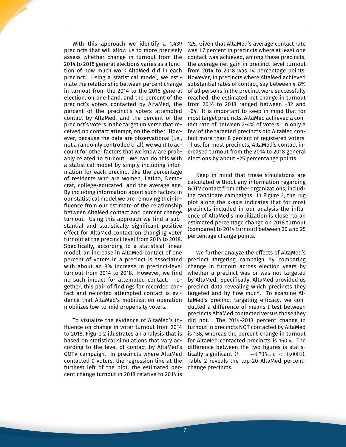With this approach we identify a 1,439 precincts that will allow us to more precisely assess whether change in turnout from the 2014 to 2018 general elections varies as a function of how much work AltaMed did in each precinct. Using a statistical model, we estimate the relationship between percent change in turnout from the 2014 to the 2018 general election, on one hand, and the percent of the precinct's voters contacted by AltaMed, the percent of the precinct's voters attempted contact by AltaMed, and the percent of the precinct's voters in the target universe that received no contact attempt, on the other. However, because the data are observational (i.e., not a randomly controlled trial), we want to account for other factors that we know are probably related to turnout. We can do this with a statistical model by simply including information for each precinct like the percentage of residents who are women, Latino, Democrat, college-educated, and the average age. By including information about such factors in our statistical model we are removing their influence from our estimate of the relationship between AltaMed contact and percent change turnout. Using this approach we find a substantial and statistically significant positive effect for AltaMed contact on changing voter turnout at the precinct level from 2014 to 2018. Specifically, according to a statistical linear model, an increase in AltaMed contact of one percent of voters in a precinct is associated with about an 8% increase in precinct-level turnout from 2014 to 2018. However, we find no such impact for attempted contact. Together, this pair of findings for recorded contact and recorded attempted contact is evidence that AltaMed's mobilization operation mobilizes low-to-mid propensity voters.

To visualize the evidence of AltaMed's influence on change in voter turnout from 2014 to 2018, Figure 2 illustrates an analysis that is based on statistical simulations that vary according to the level of contact by AltaMed's GOTV campaign. In precincts where AltaMed contacted 0 voters, the regression line at the furthest left of the plot, the estimated percent change turnout in 2018 relative to 2014 is

125. Given that AltaMed's average contact rate was 1.7 percent in precincts where at least one contact was achieved, among these precincts, the average net gain in precinct-level turnout from 2014 to 2018 was 14 percentage points. However, in precincts where AltaMed achieved substantial rates of contact, say between 4-8% of all persons in the precinct were successfully reached, the estimated net change in turnout from 2014 to 2018 ranged between +32 and +64. It is important to keep in mind that for most target precincts, AltaMed achieved a contact rate of between 2-4% of voters. In only a few of the targeted precincts did AltaMed contact more than 8 percent of registered voters. Thus, for most precincts, AltaMed's contact increased turnout from the 2014 to 2018 general elections by about +25 percentange points.

Keep in mind that these simulations are calculated without any information regarding GOTV contact from other organizations, including candidate campaigns. In Figure 2, the rug plot along the x-axis indicates that for most precincts included in our analysis the influence of AltaMed's mobilization is closer to an estimated percentage change on 2018 turnout (compared to 2014 turnout) between 20 and 25 percentage change points.

We further analyze the effects of AltaMed's precinct targeting campaign by comparing change in turnout across election years by whether a precinct was or was not targeted by AltaMed. Specifically, AltaMed provided us precinct data revealing which precincts they targeted and by how much. To examine AltaMed's precinct targeting efficacy, we conducted a difference of means t-test between precincts AltaMed contacted versus those they did not. The 2014-2018 percent change in turnout in precincts NOT contacted by AltaMed is 138, whereas the percent change in turnout for AltaMed contacted precincts is 160.4. The difference between the two figures is statistically significant  $(t = -4.7354, p < 0.0001)$ . Table 2 reveals the top-20 AltaMed percentchange precincts.

7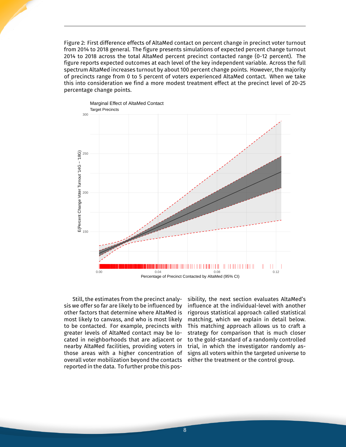Figure 2: First difference effects of AltaMed contact on percent change in precinct voter turnout from 2014 to 2018 general. The figure presents simulations of expected percent change turnout 2014 to 2018 across the total AltaMed percent precinct contacted range (0-12 percent). The figure reports expected outcomes at each level of the key independent variable. Across the full spectrum AltaMed increases turnout by about 100 percent change points. However, the majority of precincts range from 0 to 5 percent of voters experienced AltaMed contact. When we take this into consideration we find a more modest treatment effect at the precinct level of 20-25 percentage change points.



Still, the estimates from the precinct analysis we offer so far are likely to be influenced by other factors that determine where AltaMed is most likely to canvass, and who is most likely to be contacted. For example, precincts with greater levels of AltaMed contact may be located in neighborhoods that are adjacent or nearby AltaMed facilities, providing voters in those areas with a higher concentration of overall voter mobilization beyond the contacts reported in the data. To further probe this pos-

sibility, the next section evaluates AltaMed's influence at the individual-level with another rigorous statistical approach called statistical matching, which we explain in detail below. This matching approach allows us to craft a strategy for comparison that is much closer to the gold-standard of a randomly controlled trial, in which the investigator randomly assigns all voters within the targeted universe to either the treatment or the control group.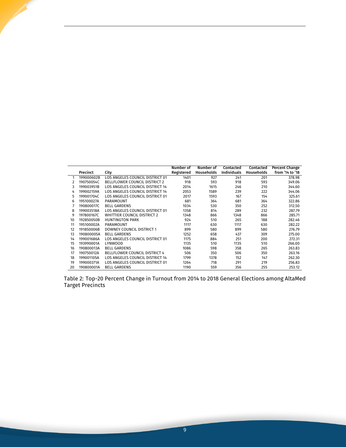|    |            |                                        | Number of  | Number of  | Contacted          | Contacted  | <b>Percent Change</b> |
|----|------------|----------------------------------------|------------|------------|--------------------|------------|-----------------------|
|    | Precinct   | City                                   | Registered | Households | <b>Individuals</b> | Households | from '14 to '18       |
|    | 199000602B | LOS ANGELES COUNCIL DISTRICT 01        | 1401       | 927        | 241                | 201        | 378.98                |
| 2  | 190750054C | <b>BELLFLOWER COUNCIL DISTRICT 2</b>   | 918        | 593        | 918                | 593        | 349.06                |
| 3  | 199003951B | LOS ANGELES COUNCIL DISTRICT 14        | 2014       | 1615       | 246                | 210        | 344.60                |
| 4  | 199002159A | <b>LOS ANGELES COUNCIL DISTRICT 14</b> | 2053       | 1589       | 239                | 222        | 344.06                |
| 5  | 199001704C | LOS ANGELES COUNCIL DISTRICT 01        | 2017       | 1593       | 167                | 154        | 325.61                |
| 6  | 195100027A | PARAMOUNT                              | 681        | 364        | 681                | 364        | 322.86                |
|    | 190800017C | <b>BELL GARDENS</b>                    | 1034       | 530        | 350                | 252        | 312.50                |
| 8  | 199003518A | LOS ANGELES COUNCIL DISTRICT 01        | 1358       | 814        | 289                | 232        | 287.79                |
| 9  | 197800167C | WHITTIER COUNCIL DISTRICT 2            | 1348       | 866        | 1348               | 866        | 285.71                |
| 10 | 192850050B | <b>HUNTINGTON PARK</b>                 | 924        | 510        | 265                | 188        | 282.46                |
| 11 | 195100002A | <b>PARAMOUNT</b>                       | 1117       | 630        | 1117               | 630        | 282.22                |
| 12 | 191850006B | DOWNEY COUNCIL DISTRICT 1              | 899        | 580        | 899                | 580        | 276.79                |
| 13 | 190800005A | <b>BELL GARDENS</b>                    | 1252       | 658        | 437                | 309        | 275.00                |
| 14 | 199001686A | LOS ANGELES COUNCIL DISTRICT 01        | 1175       | 884        | 251                | 200        | 272.31                |
| 15 | 193990001A | LYNWOOD                                | 1135       | 510        | 1135               | 510        | 266.00                |
| 16 | 190800013A | <b>BELL GARDENS</b>                    |            | 598        | 358                | 265        | 263.83                |
| 17 | 190750012A | BELLFLOWER COUNCIL DISTRICT 4          | 506        | 350        | 506                | 350        | 263.16                |
| 18 | 199001105A | LOS ANGELES COUNCIL DISTRICT 14        | 1799       | 1378       | 152                | 147        | 262.30                |
| 19 | 199000371A | LOS ANGELES COUNCIL DISTRICT 01        | 1264       | 718        | 291                | 219        | 256.83                |
| 20 | 190800001A | <b>BELL GARDENS</b>                    | 1190       | 559        | 356                | 255        | 253.12                |

Table 2: Top-20 Percent Change in Turnout from 2014 to 2018 General Elections among AltaMed Target Precincts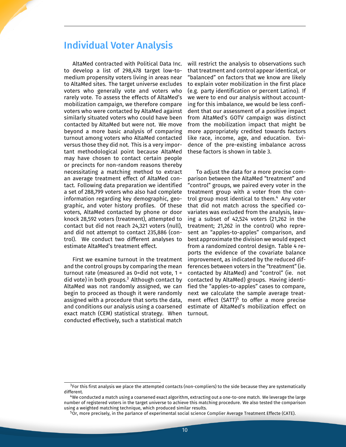#### Individual Voter Analysis

AltaMed contracted with Political Data Inc. to develop a list of 298,478 target low-tomedium propensity voters living in areas near to AltaMed sites. The target universe excludes voters who generally vote and voters who rarely vote. To assess the effects of AltaMed's mobilization campaign, we therefore compare voters who were contacted by AltaMed against similarly situated voters who could have been contacted by AltaMed but were not. We move beyond a more basic analysis of comparing turnout among voters who AltaMed contacted versus those they did not. This is a very important methodological point because AltaMed may have chosen to contact certain people or precincts for non-random reasons thereby necessitating a matching method to extract an average treatment effect of AltaMed contact. Following data preparation we identified a set of 288,799 voters who also had complete information regarding key demographic, geographic, and voter history profiles. Of these voters, AltaMed contacted by phone or door knock 28,592 voters (treatment), attempted to contact but did not reach 24,321 voters (null), and did not attempt to contact 235,886 (control). We conduct two different analyses to estimate AltaMed's treatment effect.

First we examine turnout in the treatment and the control groups by comparing the mean turnout rate (measured as 0=did not vote, 1 = did vote) in both groups.<sup>3</sup> Although contact by AltaMed was not randomly assigned, we can begin to proceed as though it were randomly assigned with a procedure that sorts the data, and conditions our analysis using a coarsened exact match (CEM) statistical strategy. When conducted effectively, such a statistical match

will restrict the analysis to observations such that treatment and control appear identical, or "balanced" on factors that we know are likely to explain voter mobilization in the first place (e.g. party identification or percent Latino). If we were to end our analysis without accounting for this imbalance, we would be less confident that our assessment of a positive impact from AltaMed's GOTV campaign was distinct from the mobilization impact that might be more appropriately credited towards factors like race, income, age, and education. Evidence of the pre-existing imbalance across these factors is shown in table 3.

To adjust the data for a more precise comparison between the AltaMed "treatment" and "control" groups, we paired every voter in the treatment group with a voter from the control group most identical to them.<sup>4</sup> Any voter that did not match across the specified covariates was excluded from the analysis, leaving a subset of 42,524 voters (21,262 in the treatment; 21,262 in the control) who represent an "apples-to-apples" comparison, and best approximate the division we would expect from a randomized control design. Table 4 reports the evidence of the covariate balance improvement, as indicated by the reduced differences between voters in the "treatment" (ie. contacted by AltaMed) and "control" (ie. not contacted by AltaMed) groups. Having identified the "apples-to-apples" cases to compare, next we calculate the sample average treatment effect (SATT)<sup>5</sup> to offer a more precise estimate of AltaMed's mobilization effect on turnout.

 $3$ For this first analysis we place the attempted contacts (non-compliers) to the side because they are systematically different.

<sup>4</sup>We conducted a match using a coarsened exact algorithm, extracting out a one-to-one match. We leverage the large number of registered voters in the target universe to achieve this matching procedure. We also tested the comparison using a weighted matching technique, which produced similar results.

 $^5$ Or, more precisely, in the parlance of experimental social science Complier Average Treatment Effecte (CATE).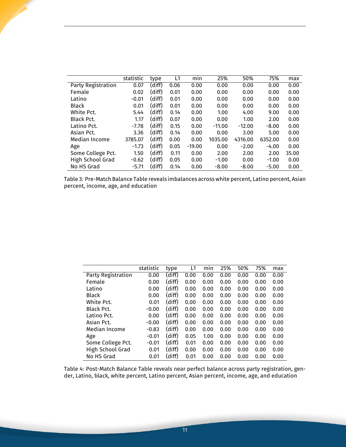|                    | statistic | type   | L1   | mın      | 25%      | 50%      | 75%     | max   |
|--------------------|-----------|--------|------|----------|----------|----------|---------|-------|
| Party Registration | 0.07      | (diff) | 0.06 | 0.00     | 0.00     | 0.00     | 0.00    | 0.00  |
| Female             | 0.02      | (diff) | 0.01 | 0.00     | 0.00     | 0.00     | 0.00    | 0.00  |
| Latino             | $-0.01$   | (diff) | 0.01 | 0.00     | 0.00     | 0.00     | 0.00    | 0.00  |
| <b>Black</b>       | 0.01      | (diff) | 0.01 | 0.00     | 0.00     | 0.00     | 0.00    | 0.00  |
| White Pct.         | 5.44      | (diff) | 0.14 | 0.00     | 1.00     | 4.00     | 9.00    | 0.00  |
| <b>Black Pct.</b>  | 1.17      | (diff) | 0.07 | 0.00     | 0.00     | 1.00     | 2.00    | 0.00  |
| Latino Pct.        | $-7.78$   | (diff) | 0.15 | 0.00     | $-11.00$ | $-12.00$ | $-8.00$ | 0.00  |
| Asian Pct.         | 3.36      | (diff) | 0.14 | 0.00     | 0.00     | 3.00     | 5.00    | 0.00  |
| Median Income      | 3785.07   | (diff) | 0.00 | 0.00     | 1035.00  | 4316.00  | 6352.00 | 0.00  |
| Age                | $-1.73$   | (diff) | 0.05 | $-19.00$ | 0.00     | $-2.00$  | $-4.00$ | 0.00  |
| Some College Pct.  | 1.50      | (diff) | 0.11 | 0.00     | 2.00     | 2.00     | 2.00    | 35.00 |
| High School Grad   | $-0.62$   | (diff) | 0.05 | 0.00     | $-1.00$  | 0.00     | $-1.00$ | 0.00  |
| No HS Grad         | $-5.71$   | (diff) | 0.14 | 0.00     | $-8.00$  | $-8.00$  | $-5.00$ | 0.00  |

Table 3: Pre-Match Balance Table reveals imbalances across white percent, Latino percent, Asian percent, income, age, and education

|                    | statistic | type   | L1   | min  | 25%  | 50%  | 75%  | max  |
|--------------------|-----------|--------|------|------|------|------|------|------|
| Party Registration | 0.00      | (diff) | 0.00 | 0.00 | 0.00 | 0.00 | 0.00 | 0.00 |
| Female             | 0.00      | (diff) | 0.00 | 0.00 | 0.00 | 0.00 | 0.00 | 0.00 |
| Latino             | 0.00      | (diff) | 0.00 | 0.00 | 0.00 | 0.00 | 0.00 | 0.00 |
| <b>Black</b>       | 0.00      | (diff) | 0.00 | 0.00 | 0.00 | 0.00 | 0.00 | 0.00 |
| White Pct.         | 0.01      | (diff) | 0.00 | 0.00 | 0.00 | 0.00 | 0.00 | 0.00 |
| Black Pct.         | $-0.00$   | (diff) | 0.00 | 0.00 | 0.00 | 0.00 | 0.00 | 0.00 |
| Latino Pct.        | 0.00      | (diff) | 0.00 | 0.00 | 0.00 | 0.00 | 0.00 | 0.00 |
| Asian Pct.         | $-0.00$   | (diff) | 0.00 | 0.00 | 0.00 | 0.00 | 0.00 | 0.00 |
| Median Income      | $-0.83$   | (diff) | 0.00 | 0.00 | 0.00 | 0.00 | 0.00 | 0.00 |
| Age                | $-0.01$   | (diff) | 0.05 | 1.00 | 0.00 | 0.00 | 0.00 | 0.00 |
| Some College Pct.  | $-0.01$   | (diff) | 0.01 | 0.00 | 0.00 | 0.00 | 0.00 | 0.00 |
| High School Grad   | 0.01      | (diff) | 0.00 | 0.00 | 0.00 | 0.00 | 0.00 | 0.00 |
| No HS Grad         | 0.01      | (diff) | 0.01 | 0.00 | 0.00 | 0.00 | 0.00 | 0.00 |

Table 4: Post-Match Balance Table reveals near perfect balance across party registration, gender, Latino, black, white percent, Latino percent, Asian percent, income, age, and education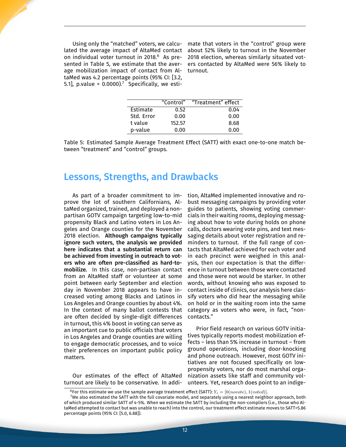Using only the "matched" voters, we calculated the average impact of AltaMed contact on individual voter turnout in 2018.<sup>6</sup> As presented in Table 5, we estimate that the average mobilization impact of contact from AltaMed was 4.2 percentage points (95% CI: [3.2, 5.1], p.value =  $0.0000$ .<sup>7</sup> Specifically, we esti-

mate that voters in the "control" group were about 52% likely to turnout in the November 2018 election, whereas similarly situated voters contacted by AltaMed were 56% likely to turnout.

|            | "Control" | "Treatment" effect |
|------------|-----------|--------------------|
| Estimate   | 0.52      | 0.04               |
| Std. Error | 0.00      | 0.00               |
| t value    | 152.57    | 8.68               |
| p-value    | 0.00      | 0.00               |

Table 5: Estimated Sample Average Treatment Effect (SATT) with exact one-to-one match between "treatment" and "control" groups.

#### Lessons, Strengths, and Drawbacks

As part of a broader commitment to improve the lot of southern Californians, AltaMed organized, trained, and deployed a nonpartisan GOTV campaign targeting low-to-mid propensity Black and Latino voters in Los Angeles and Orange counties for the November 2018 election. Although campaigns typically ignore such voters, the analysis we provided here indicates that a substantial return can be achieved from investing in outreach to voters who are often pre-classified as hard-tomobilize. In this case, non-partisan contact from an AltaMed staff or volunteer at some point between early September and election day in November 2018 appears to have increased voting among Blacks and Latinos in Los Angeles and Orange counties by about 4%. In the context of many ballot contests that are often decided by single-digit differences in turnout, this 4% boost in voting can serve as an important cue to public officials that voters in Los Angeles and Orange counties are willing to engage democratic processes, and to voice their preferences on important public policy matters.

Our estimates of the effect of AltaMed turnout are likely to be conservative. In addition, AltaMed implemented innovative and robust messaging campaigns by providing voter guides to patients, showing voting commercials in their waiting rooms, deploying messaging about how to vote during holds on phone calls, doctors wearing vote pins, and text messaging details about voter registration and reminders to turnout. If the full range of contacts that AltaMed achieved for each voter and in each precinct were weighed in this analysis, then our expectation is that the difference in turnout between those were contacted and those were not would be starker. In other words, without knowing who was exposed to contact inside of clinics, our analysis here classify voters who did hear the messaging while on hold or in the waiting room into the same category as voters who were, in fact, "noncontacts."

Prior field research on various GOTV initiatives typically reports modest mobilization effects – less than 5% increase in turnout – from ground operations, including door-knocking and phone outreach. However, most GOTV initiatives are not focused specifically on lowpropensity voters, nor do most marshal organization assets like staff and community volunteers. Yet, research does point to an indige-

<sup>&</sup>lt;sup>6</sup>For this estimate we use the sample average treatment effect (SATT):  $Y_i = [0(novote), 1(voted)].$ 

 $^7$ We also estimated the SATT with the full covariate model, and separately using a nearest neighbor approach, both of which produced similar SATT of 4-5%. When we estimate the SATT by including the non-compliers (i.e., those who AltaMed attempted to contact but was unable to reach) into the control, our treatment effect estimate moves to SATT=5.86 percentage points (95% CI: [5.0, 6.88]).